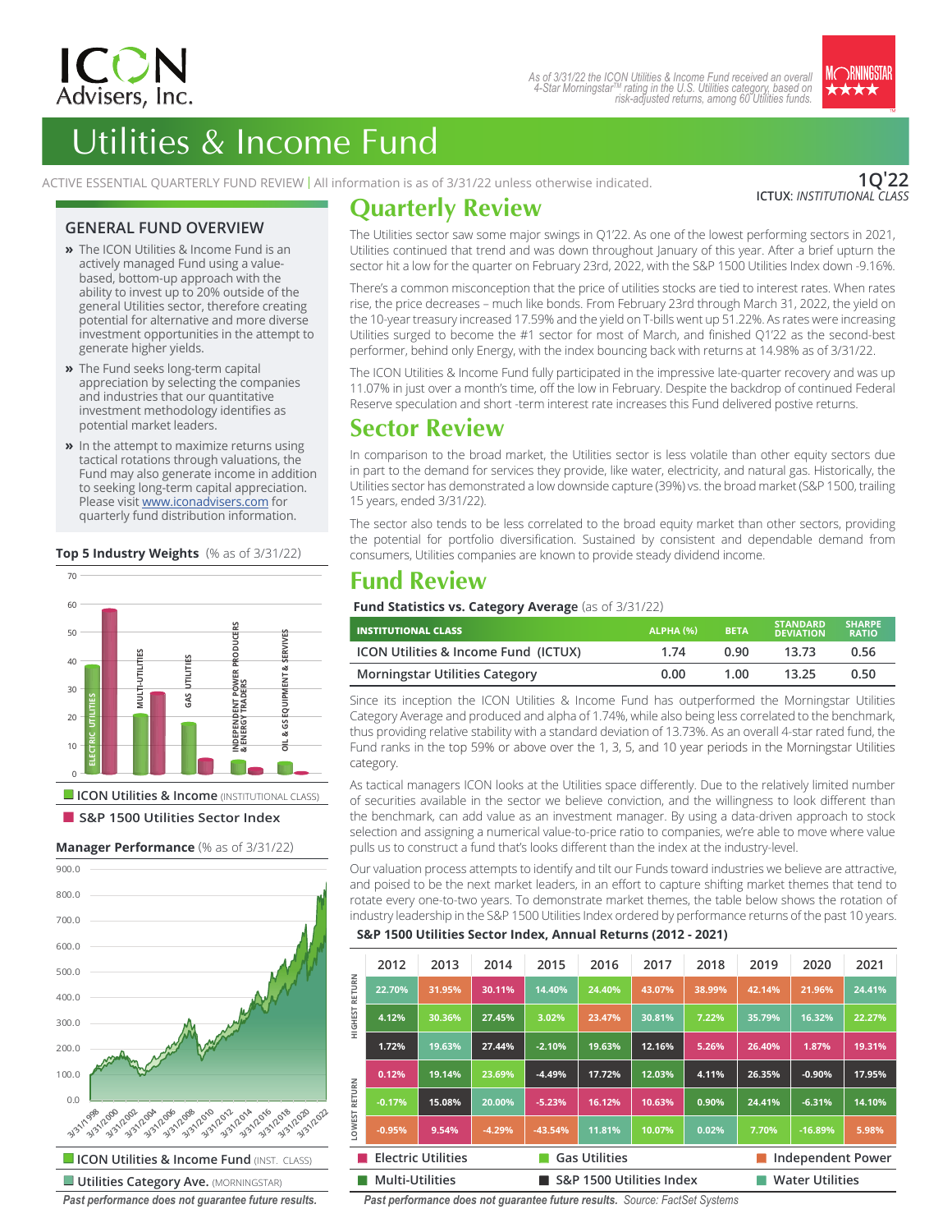



# Utilities & Income Fund

ACTIVE ESSENTIAL QUARTERLY FUND REVIEW | All information is as of 3/31/22 unless otherwise indicated.

**1Q'22 ICTUX**: *INSTITUTIONAL CLASS*

### **GENERAL FUND OVERVIEW**

- **»** The ICON Utilities & Income Fund is an actively managed Fund using a valuebased, bottom-up approach with the ability to invest up to 20% outside of the general Utilities sector, therefore creating potential for alternative and more diverse investment opportunities in the attempt to generate higher yields.
- **»** The Fund seeks long-term capital appreciation by selecting the companies and industries that our quantitative investment methodology identifies as potential market leaders.
- **»** In the attempt to maximize returns using lo comparison to the broad module (a) tactical rotations through valuations, the tactical rotations through valuations, the<br>Fund may also generate income in addition to seeking long-term capital appreciation. Please visit www.iconadvisers.com for quarterly fund distribution information.

### **Top 5 Industry Weights** (% as of 3/31/22)



■ **S&P 1500 Utilities Sector Index** 

### **Manager Performance** (% as of 3/31/22)



*Past performance does not guarantee future results.*

# **Quarterly Review**

The Utilities sector saw some major swings in Q1'22. As one of the lowest performing sectors in 2021, Utilities continued that trend and was down throughout January of this year. After a brief upturn the sector hit a low for the quarter on February 23rd, 2022, with the S&P 1500 Utilities Index down -9.16%.

There's a common misconception that the price of utilities stocks are tied to interest rates. When rates rise, the price decreases – much like bonds. From February 23rd through March 31, 2022, the yield on the 10-year treasury increased 17.59% and the yield on T-bills went up 51.22%. As rates were increasing Utilities surged to become the #1 sector for most of March, and finished Q1'22 as the second-best performer, behind only Energy, with the index bouncing back with returns at 14.98% as of 3/31/22.

The ICON Utilities & Income Fund fully participated in the impressive late-quarter recovery and was up 11.07% in just over a month's time, off the low in February. Despite the backdrop of continued Federal Reserve speculation and short -term interest rate increases this Fund delivered postive returns.

### **Sector Review**

In comparison to the broad market, the Utilities sector is less volatile than other equity sectors due in part to the demand for services they provide, like water, electricity, and natural gas. Historically, the Utilities sector has demonstrated a low downside capture (39%) vs. the broad market (S&P 1500, trailing 15 years, ended 3/31/22).

The sector also tends to be less correlated to the broad equity market than other sectors, providing the potential for portfolio diversification. Sustained by consistent and dependable demand from consumers, Utilities companies are known to provide steady dividend income.

## **Fund Review**

**Fund Statistics vs. Category Average** (as of 3/31/22)

| <b>INSTITUTIONAL CLASS</b>                      | ALPHA(%) | <b>BETA</b> | <b>STANDARD</b><br><b>DEVIATION</b> | <b>SHARPE</b><br><b>RATIO</b> |
|-------------------------------------------------|----------|-------------|-------------------------------------|-------------------------------|
| <b>ICON Utilities &amp; Income Fund (ICTUX)</b> | 1.74     | 0.90        | 13.73                               | 0.56                          |
| <b>Morningstar Utilities Category</b>           | 0.00     | 1.00        | 13.25                               | 0.50                          |

Since its inception the ICON Utilities & Income Fund has outperformed the Morningstar Utilities Category Average and produced and alpha of 1.74%, while also being less correlated to the benchmark, thus providing relative stability with a standard deviation of 13.73%. As an overall 4-star rated fund, the Fund ranks in the top 59% or above over the 1, 3, 5, and 10 year periods in the Morningstar Utilities category.

As tactical managers ICON looks at the Utilities space differently. Due to the relatively limited number of securities available in the sector we believe conviction, and the willingness to look different than the benchmark, can add value as an investment manager. By using a data-driven approach to stock selection and assigning a numerical value-to-price ratio to companies, we're able to move where value pulls us to construct a fund that's looks different than the index at the industry-level.

Our valuation process attempts to identify and tilt our Funds toward industries we believe are attractive, and poised to be the next market leaders, in an effort to capture shifting market themes that tend to rotate every one-to-two years. To demonstrate market themes, the table below shows the rotation of industry leadership in the S&P 1500 Utilities Index ordered by performance returns of the past 10 years.

### **S&P 1500 Utilities Sector Index, Annual Returns (2012 - 2021)**

|                                                                               | 2012     | 2013   | 2014     | 2015      | 2016   | 2017                   | 2018   | 2019   | 2020      | 2021   |
|-------------------------------------------------------------------------------|----------|--------|----------|-----------|--------|------------------------|--------|--------|-----------|--------|
| <b>RETURN</b>                                                                 | 22.70%   | 31.95% | 30.11%   | 14.40%    | 24.40% | 43.07%                 | 38.99% | 42.14% | 21.96%    | 24.41% |
| <b>HIGHEST</b>                                                                | 4.12%    | 30.36% | 27.45%   | 3.02%     | 23.47% | 30.81%                 | 7.22%  | 35.79% | 16.32%    | 22.27% |
|                                                                               | 1.72%    | 19.63% | 27.44%   | $-2.10%$  | 19.63% | 12.16%                 | 5.26%  | 26.40% | 1.87%     | 19.31% |
|                                                                               | 0.12%    | 19.14% | 23.69%   | $-4.49%$  | 17.72% | 12.03%                 | 4.11%  | 26.35% | $-0.90%$  | 17.95% |
| RETURN                                                                        | $-0.17%$ | 15.08% | 20.00%   | $-5.23%$  | 16.12% | 10.63%                 | 0.90%  | 24.41% | $-6.31%$  | 14.10% |
| <b>LOWEST</b>                                                                 | $-0.95%$ | 9.54%  | $-4.29%$ | $-43.54%$ | 11.81% | 10.07%                 | 0.02%  | 7.70%  | $-16.89%$ | 5.98%  |
| <b>Electric Utilities</b><br><b>Gas Utilities</b><br><b>Independent Power</b> |          |        |          |           |        |                        |        |        |           |        |
| <b>Multi-Utilities</b><br>S&P 1500 Utilities Index                            |          |        |          |           |        | <b>Water Utilities</b> |        |        |           |        |

*Past performance does not guarantee future results. Source: FactSet Systems*